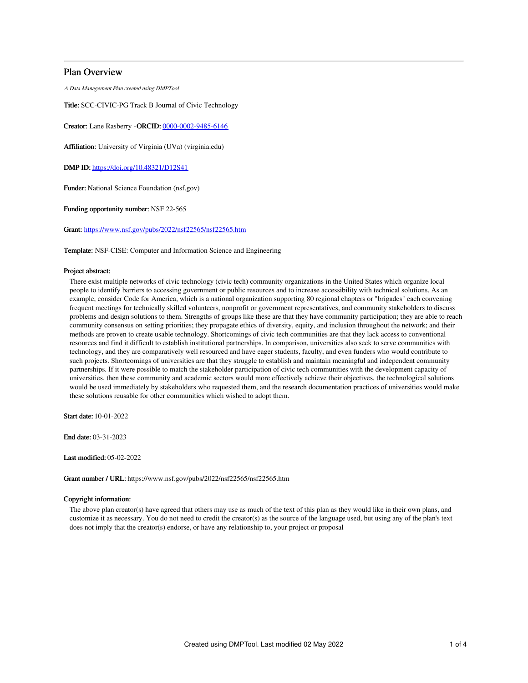# Plan Overview

A Data Management Plan created using DMPTool

Title: SCC-CIVIC-PG Track B Journal of Civic Technology

Creator: Lane Rasberry -ORCID: [0000-0002-9485-6146](https://orcid.org/0000-0002-9485-6146)

Affiliation: University of Virginia (UVa) (virginia.edu)

DMP ID: <https://doi.org/10.48321/D12S41>

Funder: National Science Foundation (nsf.gov)

Funding opportunity number: NSF 22-565

Grant: <https://www.nsf.gov/pubs/2022/nsf22565/nsf22565.htm>

Template: NSF-CISE: Computer and Information Science and Engineering

## Project abstract:

There exist multiple networks of civic technology (civic tech) community organizations in the United States which organize local people to identify barriers to accessing government or public resources and to increase accessibility with technical solutions. As an example, consider Code for America, which is a national organization supporting 80 regional chapters or "brigades" each convening frequent meetings for technically skilled volunteers, nonprofit or government representatives, and community stakeholders to discuss problems and design solutions to them. Strengths of groups like these are that they have community participation; they are able to reach community consensus on setting priorities; they propagate ethics of diversity, equity, and inclusion throughout the network; and their methods are proven to create usable technology. Shortcomings of civic tech communities are that they lack access to conventional resources and find it difficult to establish institutional partnerships. In comparison, universities also seek to serve communities with technology, and they are comparatively well resourced and have eager students, faculty, and even funders who would contribute to such projects. Shortcomings of universities are that they struggle to establish and maintain meaningful and independent community partnerships. If it were possible to match the stakeholder participation of civic tech communities with the development capacity of universities, then these community and academic sectors would more effectively achieve their objectives, the technological solutions would be used immediately by stakeholders who requested them, and the research documentation practices of universities would make these solutions reusable for other communities which wished to adopt them.

Start date: 10-01-2022

End date: 03-31-2023

Last modified: 05-02-2022

Grant number / URL: https://www.nsf.gov/pubs/2022/nsf22565/nsf22565.htm

## Copyright information:

The above plan creator(s) have agreed that others may use as much of the text of this plan as they would like in their own plans, and customize it as necessary. You do not need to credit the creator(s) as the source of the language used, but using any of the plan's text does not imply that the creator(s) endorse, or have any relationship to, your project or proposal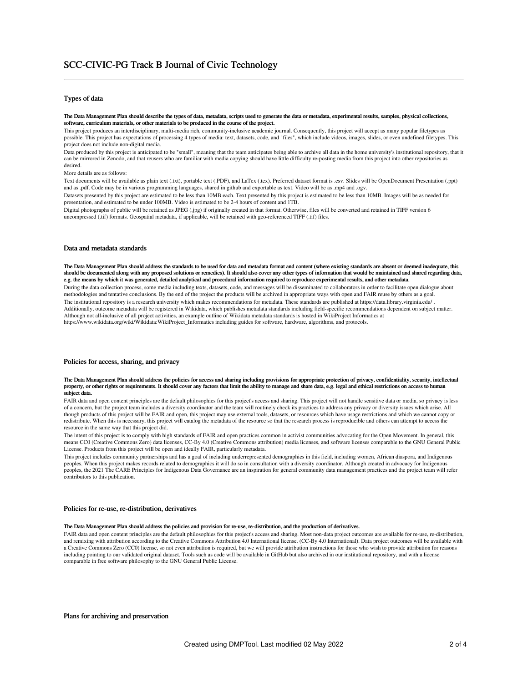# Types of data

#### The Data Management Plan should describe the types of data, metadata, scripts used to generate the data or metadata, experimental results, samples, physical collections, software, curriculum materials, or other materials to be produced in the course of the project.

This project produces an interdisciplinary, multi-media rich, community-inclusive academic journal. Consequently, this project will accept as many popular filetypes as possible. This project has expectations of processing 4 types of media: text, datasets, code, and "files", which include videos, images, slides, or even undefined filetypes. This project does not include non-digital media.

Data produced by this project is anticipated to be "small", meaning that the team anticipates being able to archive all data in the home university's institutional repository, that it can be mirrored in Zenodo, and that reusers who are familiar with media copying should have little difficulty re-posting media from this project into other repositories as desired.

More details are as follows:

Text documents will be available as plain text (.txt), portable text (.PDF), and LaTex (.tex). Preferred dataset format is .csv. Slides will be OpenDocument Presentation (.ppt) and as .pdf. Code may be in various programming languages, shared in github and exportable as text. Video will be as .mp4 and .ogv.

Datasets presented by this project are estimated to be less than 10MB each. Text presented by this project is estimated to be less than 10MB. Images will be as needed for presentation, and estimated to be under 100MB. Video is estimated to be 2-4 hours of content and 1TB.

Digital photographs of public will be retained as JPEG (.jpg) if originally created in that format. Otherwise, files will be converted and retained in TIFF version 6 uncompressed (.tif) formats. Geospatial metadata, if applicable, will be retained with geo-referenced TIFF (.tif) files.

## Data and metadata standards

The Data Management Plan should address the standards to be used for data and metadata format and content (where existing standards are absent or deemed inadequate, this should be documented along with any proposed solutions or remedies). It should also cover any other types of information that would be maintained and shared regarding data, e.g. the means by which it was generated, detailed analytical and procedural information required to reproduce experimental results, and other metadata. During the data collection process, some media including texts, datasets, code, and messages will be disseminated to collaborators in order to facilitate open dialogue about methodologies and tentative conclusions. By the end of the project the products will be archived in appropriate ways with open and FAIR reuse by others as a goal. The institutional repository is a research university which makes recommendations for metadata. These standards are published at https://data.library.virginia.edu/ . Additionally, outcome metadata will be registered in Wikidata, which publishes metadata standards including field-specific recommendations dependent on subject matter. Although not all-inclusive of all project activities, an example outline of Wikidata metadata standards is hosted in WikiProject Informatics at https://www.wikidata.org/wiki/Wikidata:WikiProject\_Informatics including guides for software, hardware, algorithms, and protocols.

## Policies for access, sharing, and privacy

#### The Data Management Plan should address the policies for access and sharing including provisions for appropriate protection of privacy, confidentiality, security, intellectual property, or other rights or requirements. It should cover any factors that limit the ability to manage and share data, e.g. legal and ethical restrictions on access to human subject data.

FAIR data and open content principles are the default philosophies for this project's access and sharing. This project will not handle sensitive data or media, so privacy is less of a concern, but the project team includes a diversity coordinator and the team will routinely check its practices to address any privacy or diversity issues which arise. All though products of this project will be FAIR and open, this project may use external tools, datasets, or resources which have usage restrictions and which we cannot copy or redistribute. When this is necessary, this project will catalog the metadata of the resource so that the research process is reproducible and others can attempt to access the resource in the same way that this project did.

The intent of this project is to comply with high standards of FAIR and open practices common in activist communities advocating for the Open Movement. In general, this means CC0 (Creative Commons Zero) data licenses, CC-By 4.0 (Creative Commons attribution) media licenses, and software licenses comparable to the GNU General Public License. Products from this project will be open and ideally FAIR, particularly metadata.

This project includes community partnerships and has a goal of including underrepresented demographics in this field, including women, African diaspora, and Indigenous peoples. When this project makes records related to demographics it will do so in consultation with a diversity coordinator. Although created in advocacy for Indigenous peoples, the 2021 The CARE Principles for Indigenous Data Governance are an inspiration for general community data management practices and the project team will refer contributors to this publication.

#### Policies for re-use, re-distribution, derivatives

### The Data Management Plan should address the policies and provision for re-use, re-distribution, and the production of derivatives.

FAIR data and open content principles are the default philosophies for this project's access and sharing. Most non-data project outcomes are available for re-use, re-distribution, and remixing with attribution according to the Creative Commons Attribution 4.0 International license. (CC-By 4.0 International). Data project outcomes will be available with a Creative Commons Zero (CC0) license, so not even attribution is required, but we will provide attribution instructions for those who wish to provide attribution for reasons including pointing to our validated original dataset. Tools such as code will be available in GitHub but also archived in our institutional repository, and with a license comparable in free software philosophy to the GNU General Public License.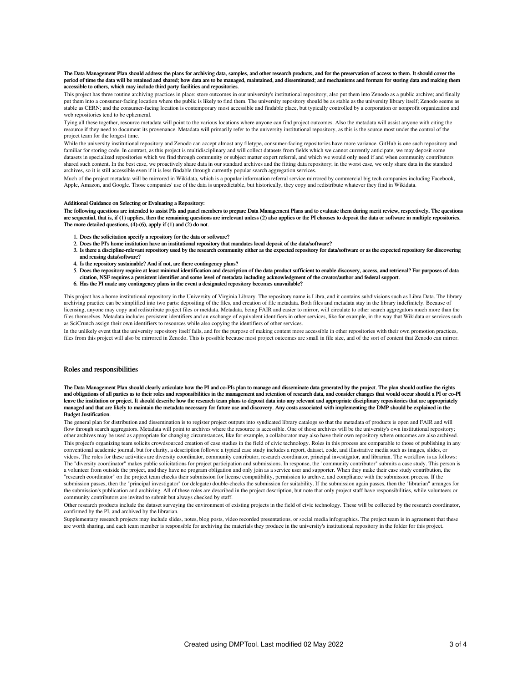#### The Data Management Plan should address the plans for archiving data, samples, and other research products, and for the preservation of access to them. It should cover the period of time the data will be retained and shared; how data are to be managed, maintained, and disseminated; and mechanisms and formats for storing data and making them accessible to others, which may include third party facilities and repositories.

This project has three routine archiving practices in place: store outcomes in our university's institutional repository; also put them into Zenodo as a public archive; and finally put them into a consumer-facing location where the public is likely to find them. The university repository should be as stable as the university library itself; Zenodo seems as stable as CERN; and the consumer-facing location is contemporary most accessible and findable place, but typically controlled by a corporation or nonprofit organization and web repositories tend to be ephemeral.

Tying all these together, resource metadata will point to the various locations where anyone can find project outcomes. Also the metadata will assist anyone with citing the resource if they need to document its provenance. Metadata will primarily refer to the university institutional repository, as this is the source most under the control of the project team for the longest time.

While the university institutional repository and Zenodo can accept almost any filetype, consumer-facing repositories have more variance. GitHub is one such repository and familiar for storing code. In contrast, as this project is multidisciplinary and will collect datasets from fields which we cannot currently anticipate, we may deposit some datasets in specialized repositories which we find through community or subject matter expert referral, and which we would only need if and when community contributors shared such content. In the best case, we proactively share data in our standard archives and the fitting data repository; in the worst case, we only share data in the standard archives, so it is still accessible even if it is less findable through currently popular search aggregation services.

Much of the project metadata will be mirrored in Wikidata, which is a popular information referral service mirrored by commercial big tech companies including Facebook, Apple, Amazon, and Google. Those companies' use of the data is unpredictable, but historically, they copy and redistribute whatever they find in Wikidata.

## Additional Guidance on Selecting or Evaluating a Repository:

The following questions are intended to assist PIs and panel members to prepare Data Management Plans and to evaluate them during merit review, respectively. The questions are sequential, that is, if (1) applies, then the remaining questions are irrelevant unless (2) also applies or the PI chooses to deposit the data or software in multiple repositories. The more detailed questions, (4)-(6), apply if (1) and (2) do not.

- 1. Does the solicitation specify a repository for the data or software?
- 2. Does the PI's home institution have an institutional repository that mandates local deposit of the data/software?
- 3. Is there a discipline-relevant repository used by the research community either as the expected repository for data/software or as the expected repository for discovering and reusing data/software?
- 4. Is the repository sustainable? And if not, are there contingency plans?
- 5. Does the repository require at least minimal identification and description of the data product sufficient to enable discovery, access, and retrieval? For purposes of data citation, NSF requires a persistent identifier and some level of metadata including acknowledgment of the creator/author and federal support.
- 6. Has the PI made any contingency plans in the event a designated repository becomes unavailable?

This project has a home institutional repository in the University of Virginia Library. The repository name is Libra, and it contains subdivisions such as Libra Data. The library archiving practice can be simplified into two parts: depositing of the files, and creation of file metadata. Both files and metadata stay in the library indefinitely. Because of licensing, anyone may copy and redistribute project files or metdata. Metadata, being FAIR and easier to mirror, will circulate to other search aggregators much more than the files themselves. Metadata includes persistent identifiers and an exchange of equivalent identifiers in other services, like for example, in the way that Wikidata or services such as SciCrunch assign their own identifiers to resources while also copying the identifiers of other services.

In the unlikely event that the university repository itself fails, and for the purpose of making content more accessible in other repositories with their own promotion practices, files from this project will also be mirrored in Zenodo. This is possible because most project outcomes are small in file size, and of the sort of content that Zenodo can mirror.

## Roles and responsibilities

The Data Management Plan should clearly articulate how the PI and co-PIs plan to manage and disseminate data generated by the project. The plan should outline the rights and obligations of all parties as to their roles and responsibilities in the management and retention of research data, and consider changes that would occur should a PI or co-PI leave the institution or project. It should describe how the research team plans to deposit data into any relevant and appropriate disciplinary repositories that are appropriately managed and that are likely to maintain the metadata necessary for future use and discovery. Any costs associated with implementing the DMP should be explained in the Budget Justification.

The general plan for distribution and dissemination is to register project outputs into syndicated library catalogs so that the metadata of products is open and FAIR and will flow through search aggregators. Metadata will point to archives where the resource is accessible. One of those archives will be the university's own institutional repository; other archives may be used as appropriate for changing circumstances, like for example, a collaborator may also have their own repository where outcomes are also archived. This project's organizing team solicits crowdsourced creation of case studies in the field of civic technology. Roles in this process are comparable to those of publishing in any conventional academic journal, but for clarity, a description follows: a typical case study includes a report, dataset, code, and illustrative media such as images, slides, or videos. The roles for these activities are diversity coordinator, community contributor, research coordinator, principal investigator, and librarian. The workflow is as follows: The "diversity coordinator" makes public solicitations for project participation and submissions. In response, the "community contributor" submits a case study. This person is a volunteer from outside the project, and they have no program obligation and only join as a service user and supporter. When they make their case study contribution, the "research coordinator" on the project team checks their submission for license compatibility, permission to archive, and compliance with the submission process. If the submission passes, then the "principal investigator" (or delegate) double-checks the submission for suitability. If the submission again passes, then the "librarian" arranges for the submission's publication and archiving. All of these roles are described in the project description, but note that only project staff have responsibilities, while volunteers or community contributors are invited to submit but always checked by staff.

Other research products include the dataset surveying the environment of existing projects in the field of civic technology. These will be collected by the research coordinator, confirmed by the PI, and archived by the librarian.

Supplementary research projects may include slides, notes, blog posts, video recorded presentations, or social media infographics. The project team is in agreement that these are worth sharing, and each team member is responsible for archiving the materials they produce in the university's institutional repository in the folder for this project.